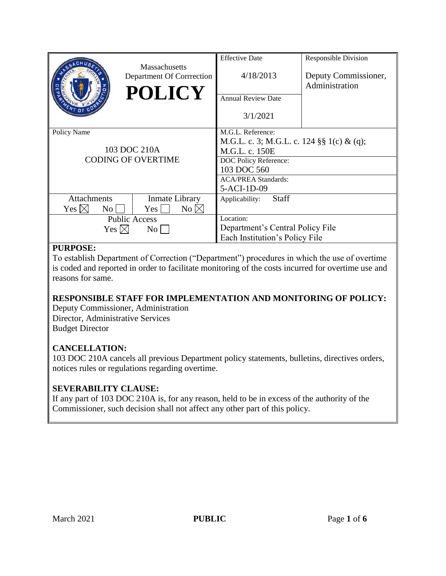|                                                          | <b>Massachusetts</b>      | <b>Effective Date</b>                     | <b>Responsible Division</b> |
|----------------------------------------------------------|---------------------------|-------------------------------------------|-----------------------------|
|                                                          | Department Of Corrrection | 4/18/2013                                 | Deputy Commissioner,        |
|                                                          | <b>POLICY</b>             |                                           | Administration              |
|                                                          |                           | <b>Annual Review Date</b>                 |                             |
|                                                          |                           | 3/1/2021                                  |                             |
| Policy Name<br>103 DOC 210A<br><b>CODING OF OVERTIME</b> |                           | M.G.L. Reference:                         |                             |
|                                                          |                           | M.G.L. c. 3; M.G.L. c. 124 §§ 1(c) & (q); |                             |
|                                                          |                           | M.G.L. c. 150E                            |                             |
|                                                          |                           | DOC Policy Reference:                     |                             |
|                                                          |                           | 103 DOC 560                               |                             |
|                                                          |                           | <b>ACA/PREA Standards:</b>                |                             |
|                                                          |                           | 5-ACI-1D-09                               |                             |
| <b>Attachments</b>                                       | Inmate Library            | <b>Staff</b><br>Applicability:            |                             |
| Yes $\boxtimes$<br>$\overline{N_{O}}$                    | No $\boxtimes$<br>Yes     |                                           |                             |
| <b>Public Access</b>                                     |                           | Location:                                 |                             |
| Yes $\boxtimes$<br>$\rm{No}$                             |                           | Department's Central Policy File          |                             |
|                                                          |                           | Each Institution's Policy File            |                             |

### **PURPOSE:**

To establish Department of Correction ("Department") procedures in which the use of overtime is coded and reported in order to facilitate monitoring of the costs incurred for overtime use and reasons for same.

# **RESPONSIBLE STAFF FOR IMPLEMENTATION AND MONITORING OF POLICY:**

Deputy Commissioner, Administration Director, Administrative Services Budget Director

# **CANCELLATION:**

103 DOC 210A cancels all previous Department policy statements, bulletins, directives orders, notices rules or regulations regarding overtime.

# **SEVERABILITY CLAUSE:**

If any part of 103 DOC 210A is, for any reason, held to be in excess of the authority of the Commissioner, such decision shall not affect any other part of this policy.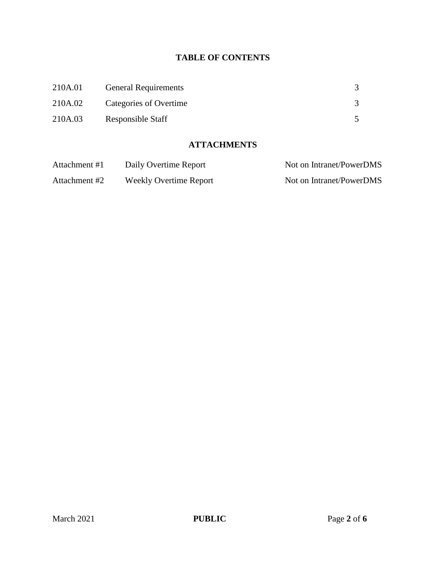# **TABLE OF CONTENTS**

| 210A.01 | <b>General Requirements</b> |  |
|---------|-----------------------------|--|
| 210A.02 | Categories of Overtime      |  |
| 210A.03 | Responsible Staff           |  |

#### **ATTACHMENTS**

| Attachment #1 | Daily Overtime Report         | Not on Intranet/PowerDMS |
|---------------|-------------------------------|--------------------------|
| Attachment #2 | <b>Weekly Overtime Report</b> | Not on Intranet/PowerDMS |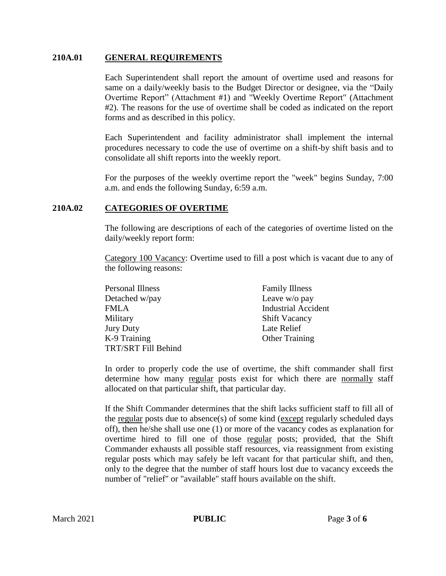#### **210A.01 GENERAL REQUIREMENTS**

Each Superintendent shall report the amount of overtime used and reasons for same on a daily/weekly basis to the Budget Director or designee, via the "Daily Overtime Report" (Attachment #1) and "Weekly Overtime Report" (Attachment #2). The reasons for the use of overtime shall be coded as indicated on the report forms and as described in this policy.

Each Superintendent and facility administrator shall implement the internal procedures necessary to code the use of overtime on a shift-by shift basis and to consolidate all shift reports into the weekly report.

For the purposes of the weekly overtime report the "week" begins Sunday, 7:00 a.m. and ends the following Sunday, 6:59 a.m.

#### **210A.02 CATEGORIES OF OVERTIME**

The following are descriptions of each of the categories of overtime listed on the daily/weekly report form:

Category 100 Vacancy: Overtime used to fill a post which is vacant due to any of the following reasons:

| <b>Personal Illness</b> | <b>Family Illness</b>      |
|-------------------------|----------------------------|
| Detached w/pay          | Leave w/o pay              |
| FMLA                    | <b>Industrial Accident</b> |
| Military                | <b>Shift Vacancy</b>       |
| Jury Duty               | Late Relief                |
| K-9 Training            | <b>Other Training</b>      |
| TRT/SRT Fill Behind     |                            |

In order to properly code the use of overtime, the shift commander shall first determine how many regular posts exist for which there are normally staff allocated on that particular shift, that particular day.

If the Shift Commander determines that the shift lacks sufficient staff to fill all of the regular posts due to absence(s) of some kind (except regularly scheduled days off), then he/she shall use one (1) or more of the vacancy codes as explanation for overtime hired to fill one of those regular posts; provided, that the Shift Commander exhausts all possible staff resources, via reassignment from existing regular posts which may safely be left vacant for that particular shift, and then, only to the degree that the number of staff hours lost due to vacancy exceeds the number of "relief" or "available" staff hours available on the shift.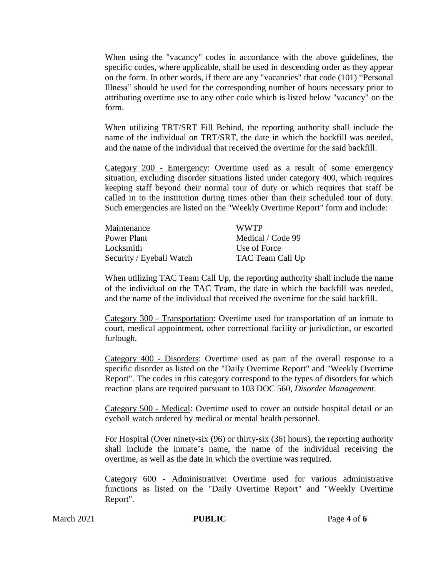When using the "vacancy" codes in accordance with the above guidelines, the specific codes, where applicable, shall be used in descending order as they appear on the form. In other words, if there are any "vacancies" that code (101) "Personal Illness" should be used for the corresponding number of hours necessary prior to attributing overtime use to any other code which is listed below "vacancy" on the form.

When utilizing TRT/SRT Fill Behind, the reporting authority shall include the name of the individual on TRT/SRT, the date in which the backfill was needed, and the name of the individual that received the overtime for the said backfill.

Category 200 - Emergency: Overtime used as a result of some emergency situation, excluding disorder situations listed under category 400, which requires keeping staff beyond their normal tour of duty or which requires that staff be called in to the institution during times other than their scheduled tour of duty. Such emergencies are listed on the "Weekly Overtime Report" form and include:

| Maintenance              | <b>WWTP</b>       |
|--------------------------|-------------------|
| Power Plant              | Medical / Code 99 |
| Locksmith                | Use of Force      |
| Security / Eyeball Watch | TAC Team Call Up  |

When utilizing TAC Team Call Up, the reporting authority shall include the name of the individual on the TAC Team, the date in which the backfill was needed, and the name of the individual that received the overtime for the said backfill.

Category 300 - Transportation: Overtime used for transportation of an inmate to court, medical appointment, other correctional facility or jurisdiction, or escorted furlough.

Category 400 - Disorders: Overtime used as part of the overall response to a specific disorder as listed on the "Daily Overtime Report" and "Weekly Overtime Report". The codes in this category correspond to the types of disorders for which reaction plans are required pursuant to 103 DOC 560, *Disorder Management*.

Category 500 - Medical: Overtime used to cover an outside hospital detail or an eyeball watch ordered by medical or mental health personnel.

For Hospital (Over ninety-six (96) or thirty-six (36) hours), the reporting authority shall include the inmate's name, the name of the individual receiving the overtime, as well as the date in which the overtime was required.

Category 600 - Administrative: Overtime used for various administrative functions as listed on the "Daily Overtime Report" and "Weekly Overtime Report".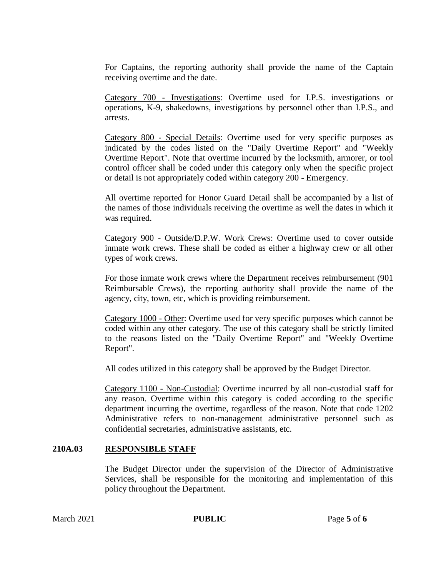For Captains, the reporting authority shall provide the name of the Captain receiving overtime and the date.

Category 700 - Investigations: Overtime used for I.P.S. investigations or operations, K-9, shakedowns, investigations by personnel other than I.P.S., and arrests.

Category 800 - Special Details: Overtime used for very specific purposes as indicated by the codes listed on the "Daily Overtime Report" and "Weekly Overtime Report". Note that overtime incurred by the locksmith, armorer, or tool control officer shall be coded under this category only when the specific project or detail is not appropriately coded within category 200 - Emergency.

All overtime reported for Honor Guard Detail shall be accompanied by a list of the names of those individuals receiving the overtime as well the dates in which it was required.

Category 900 - Outside/D.P.W. Work Crews: Overtime used to cover outside inmate work crews. These shall be coded as either a highway crew or all other types of work crews.

For those inmate work crews where the Department receives reimbursement (901 Reimbursable Crews), the reporting authority shall provide the name of the agency, city, town, etc, which is providing reimbursement.

Category 1000 - Other: Overtime used for very specific purposes which cannot be coded within any other category. The use of this category shall be strictly limited to the reasons listed on the "Daily Overtime Report" and "Weekly Overtime Report".

All codes utilized in this category shall be approved by the Budget Director.

Category 1100 - Non-Custodial: Overtime incurred by all non-custodial staff for any reason. Overtime within this category is coded according to the specific department incurring the overtime, regardless of the reason. Note that code 1202 Administrative refers to non-management administrative personnel such as confidential secretaries, administrative assistants, etc.

#### **210A.03 RESPONSIBLE STAFF**

The Budget Director under the supervision of the Director of Administrative Services, shall be responsible for the monitoring and implementation of this policy throughout the Department.